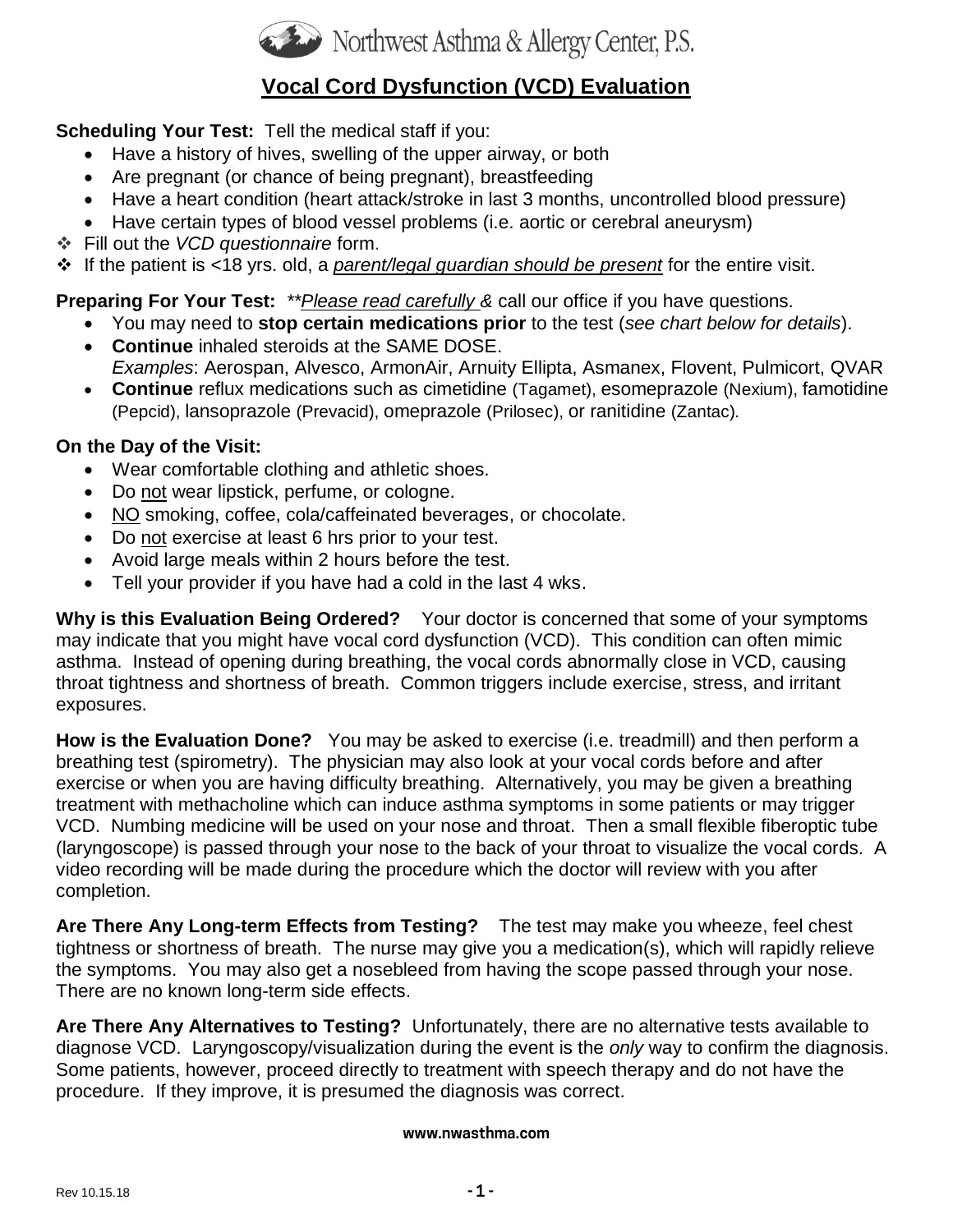

# **Vocal Cord Dysfunction (VCD) Evaluation**

## **Scheduling Your Test:** Tell the medical staff if you:

- Have a history of hives, swelling of the upper airway, or both
- Are pregnant (or chance of being pregnant), breastfeeding
- Have a heart condition (heart attack/stroke in last 3 months, uncontrolled blood pressure)
- Have certain types of blood vessel problems (i.e. aortic or cerebral aneurysm)
- ❖ Fill out the *VCD questionnaire* form.

❖ If the patient is <18 yrs. old, a *parent/legal guardian should be present* for the entire visit.

# **Preparing For Your Test:** *\*\*Please read carefully &* call our office if you have questions.

- You may need to **stop certain medications prior** to the test (*see chart below for details*).
- **Continue** inhaled steroids at the SAME DOSE. *Examples*: Aerospan, Alvesco, ArmonAir, Arnuity Ellipta, Asmanex, Flovent, Pulmicort, QVAR
- **Continue** reflux medications such as cimetidine (Tagamet), esomeprazole (Nexium), famotidine (Pepcid), lansoprazole (Prevacid), omeprazole (Prilosec), or ranitidine (Zantac).

## **On the Day of the Visit:**

- Wear comfortable clothing and athletic shoes.
- Do not wear lipstick, perfume, or cologne.
- NO smoking, coffee, cola/caffeinated beverages, or chocolate.
- Do not exercise at least 6 hrs prior to your test.
- Avoid large meals within 2 hours before the test.
- Tell your provider if you have had a cold in the last 4 wks.

**Why is this Evaluation Being Ordered?** Your doctor is concerned that some of your symptoms may indicate that you might have vocal cord dysfunction (VCD). This condition can often mimic asthma. Instead of opening during breathing, the vocal cords abnormally close in VCD, causing throat tightness and shortness of breath. Common triggers include exercise, stress, and irritant exposures.

**How is the Evaluation Done?** You may be asked to exercise (i.e. treadmill) and then perform a breathing test (spirometry). The physician may also look at your vocal cords before and after exercise or when you are having difficulty breathing. Alternatively, you may be given a breathing treatment with methacholine which can induce asthma symptoms in some patients or may trigger VCD. Numbing medicine will be used on your nose and throat. Then a small flexible fiberoptic tube (laryngoscope) is passed through your nose to the back of your throat to visualize the vocal cords. A video recording will be made during the procedure which the doctor will review with you after completion.

**Are There Any Long-term Effects from Testing?** The test may make you wheeze, feel chest tightness or shortness of breath. The nurse may give you a medication(s), which will rapidly relieve the symptoms. You may also get a nosebleed from having the scope passed through your nose. There are no known long-term side effects.

**Are There Any Alternatives to Testing?** Unfortunately, there are no alternative tests available to diagnose VCD. Laryngoscopy/visualization during the event is the *only* way to confirm the diagnosis. Some patients, however, proceed directly to treatment with speech therapy and do not have the procedure. If they improve, it is presumed the diagnosis was correct.

#### **www.nwasthma.com**